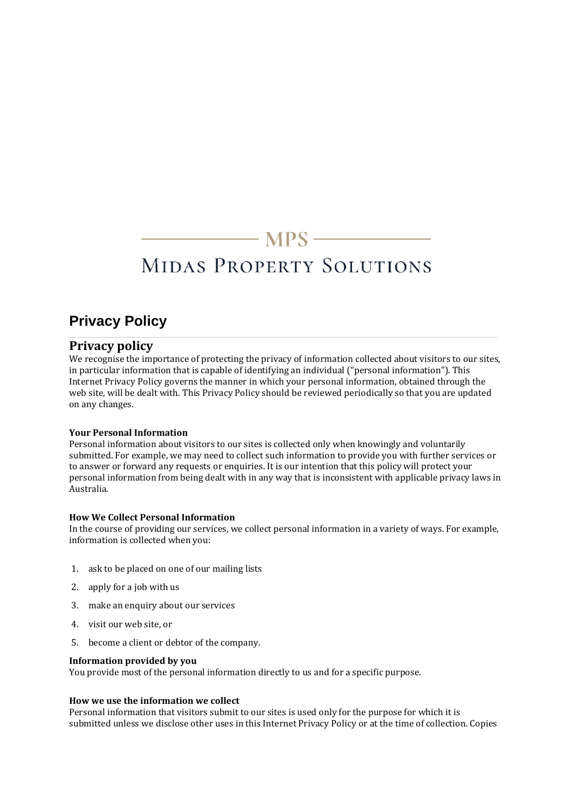## $\longrightarrow$  MPS  $\longrightarrow$

# MIDAS PROPERTY SOLUTIONS

### **Privacy Policy**

#### **Privacy policy**

We recognise the importance of protecting the privacy of information collected about visitors to our sites, in particular information that is capable of identifying an individual ("personal information"). This Internet Privacy Policy governs the manner in which your personal information, obtained through the web site, will be dealt with. This Privacy Policy should be reviewed periodically so that you are updated on any changes.

#### **Your Personal Information**

Personal information about visitors to our sites is collected only when knowingly and voluntarily submitted. For example, we may need to collect such information to provide you with further services or to answer or forward any requests or enquiries. It is our intention that this policy will protect your personal information from being dealt with in any way that is inconsistent with applicable privacy laws in Australia.

#### **How We Collect Personal Information**

In the course of providing our services, we collect personal information in a variety of ways. For example, information is collected when you:

- 1. ask to be placed on one of our mailing lists
- 2. apply for a job with us
- 3. make an enquiry about our services
- 4. visit our web site, or
- 5. become a client or debtor of the company.

#### **Information provided by you**

You provide most of the personal information directly to us and for a specific purpose.

#### **How we use the information we collect**

Personal information that visitors submit to our sites is used only for the purpose for which it is submitted unless we disclose other uses in this Internet Privacy Policy or at the time of collection. Copies